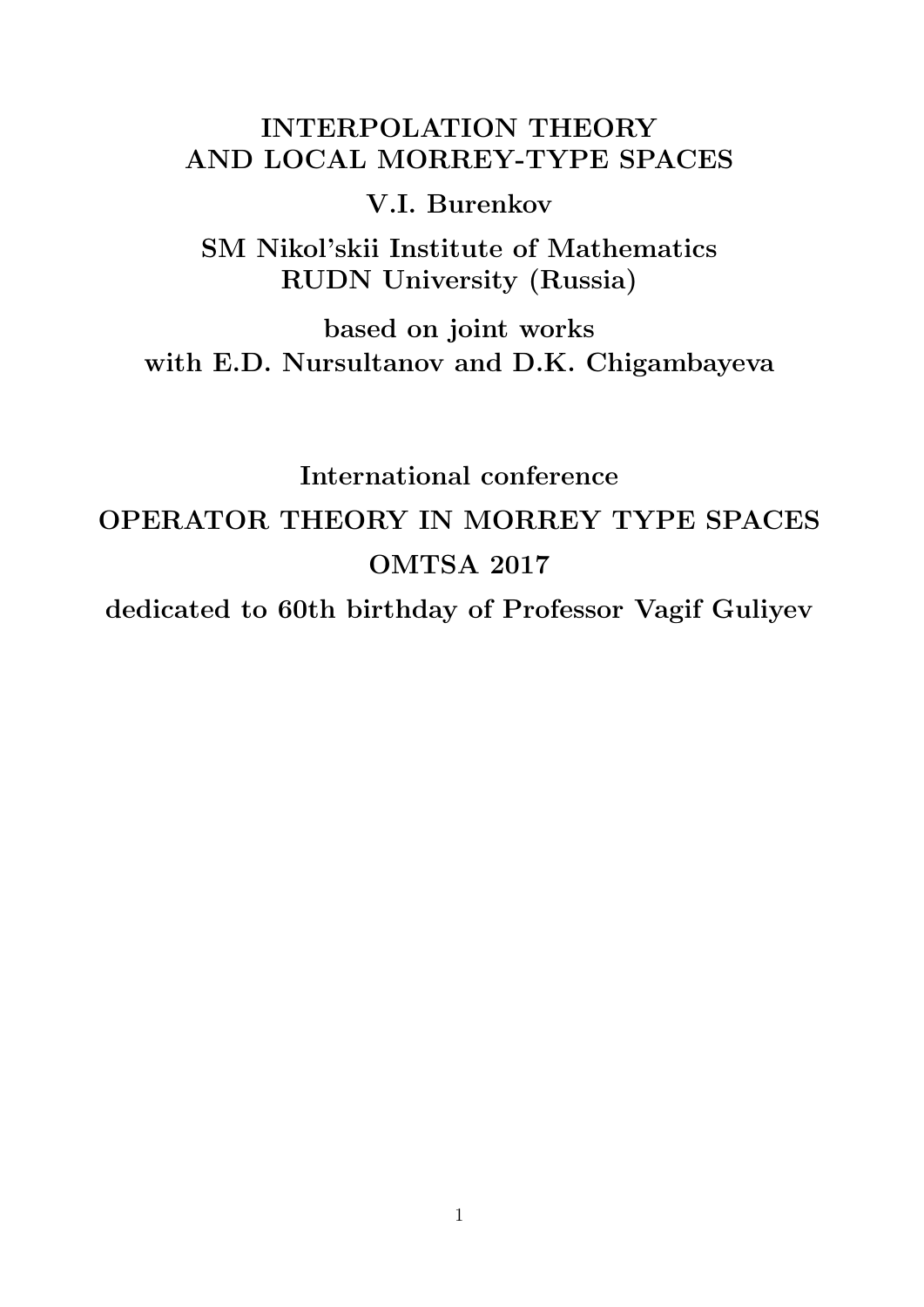# INTERPOLATION THEORY AND LOCAL MORREY-TYPE SPACES

## V.I. Burenkov

SM Nikol'skii Institute of Mathematics RUDN University (Russia)

based on joint works with E.D. Nursultanov and D.K. Chigambayeva

# International conference OPERATOR THEORY IN MORREY TYPE SPACES OMTSA 2017

dedicated to 60th birthday of Professor Vagif Guliyev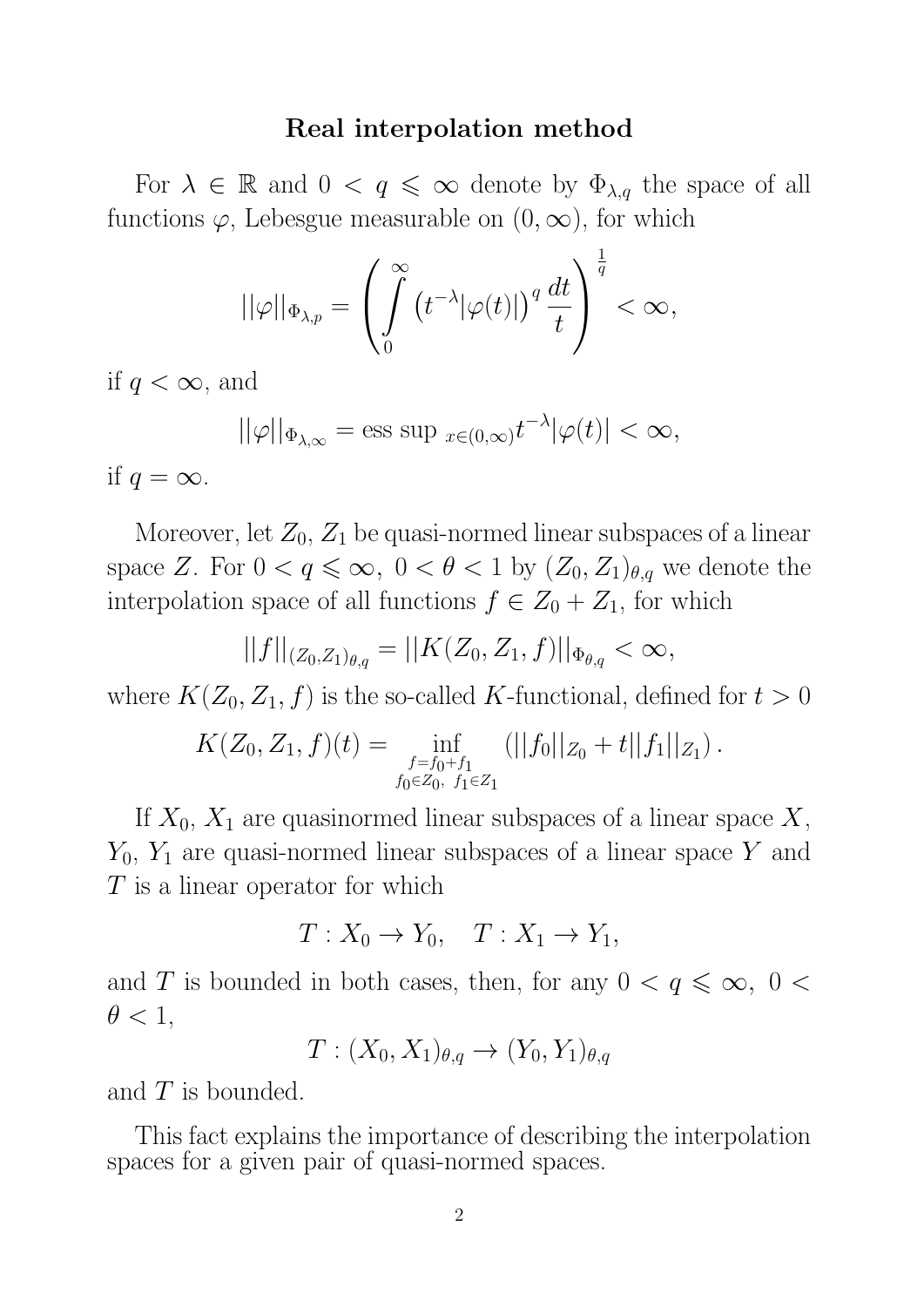#### Real interpolation method

For  $\lambda \in \mathbb{R}$  and  $0 < q \leq \infty$  denote by  $\Phi_{\lambda,q}$  the space of all functions  $\varphi$ , Lebesgue measurable on  $(0, \infty)$ , for which

$$
||\varphi||_{\Phi_{\lambda,p}}=\left(\int\limits_0^\infty \left(t^{-\lambda}|\varphi(t)|\right)^q\frac{dt}{t}\right)^{\frac{1}{q}}<\infty,
$$

if  $q < \infty$ , and

$$
||\varphi||_{\Phi_{\lambda,\infty}} = \text{ess sup }_{x \in (0,\infty)} t^{-\lambda} |\varphi(t)| < \infty,
$$

if  $q = \infty$ .

Moreover, let  $Z_0$ ,  $Z_1$  be quasi-normed linear subspaces of a linear space Z. For  $0 < q \leq \infty$ ,  $0 < \theta < 1$  by  $(Z_0, Z_1)_{\theta,q}$  we denote the interpolation space of all functions  $f \in Z_0 + Z_1$ , for which

$$
||f||_{(Z_0,Z_1)_{\theta,q}} = ||K(Z_0,Z_1,f)||_{\Phi_{\theta,q}} < \infty,
$$

where  $K(Z_0, Z_1, f)$  is the so-called K-functional, defined for  $t > 0$ 

$$
K(Z_0, Z_1, f)(t) = \inf_{\substack{f=f_0+f_1\\f_0\in Z_0, f_1\in Z_1}} (||f_0||_{Z_0} + t||f_1||_{Z_1}).
$$

If  $X_0, X_1$  are quasinormed linear subspaces of a linear space X,  $Y_0$ ,  $Y_1$  are quasi-normed linear subspaces of a linear space Y and T is a linear operator for which

$$
T: X_0 \to Y_0, \quad T: X_1 \to Y_1,
$$

and T is bounded in both cases, then, for any  $0 < q \leq \infty$ ,  $0 <$  $\theta < 1$ ,

 $T: (X_0, X_1)_{\theta,q} \rightarrow (Y_0, Y_1)_{\theta,q}$ 

and T is bounded.

This fact explains the importance of describing the interpolation spaces for a given pair of quasi-normed spaces.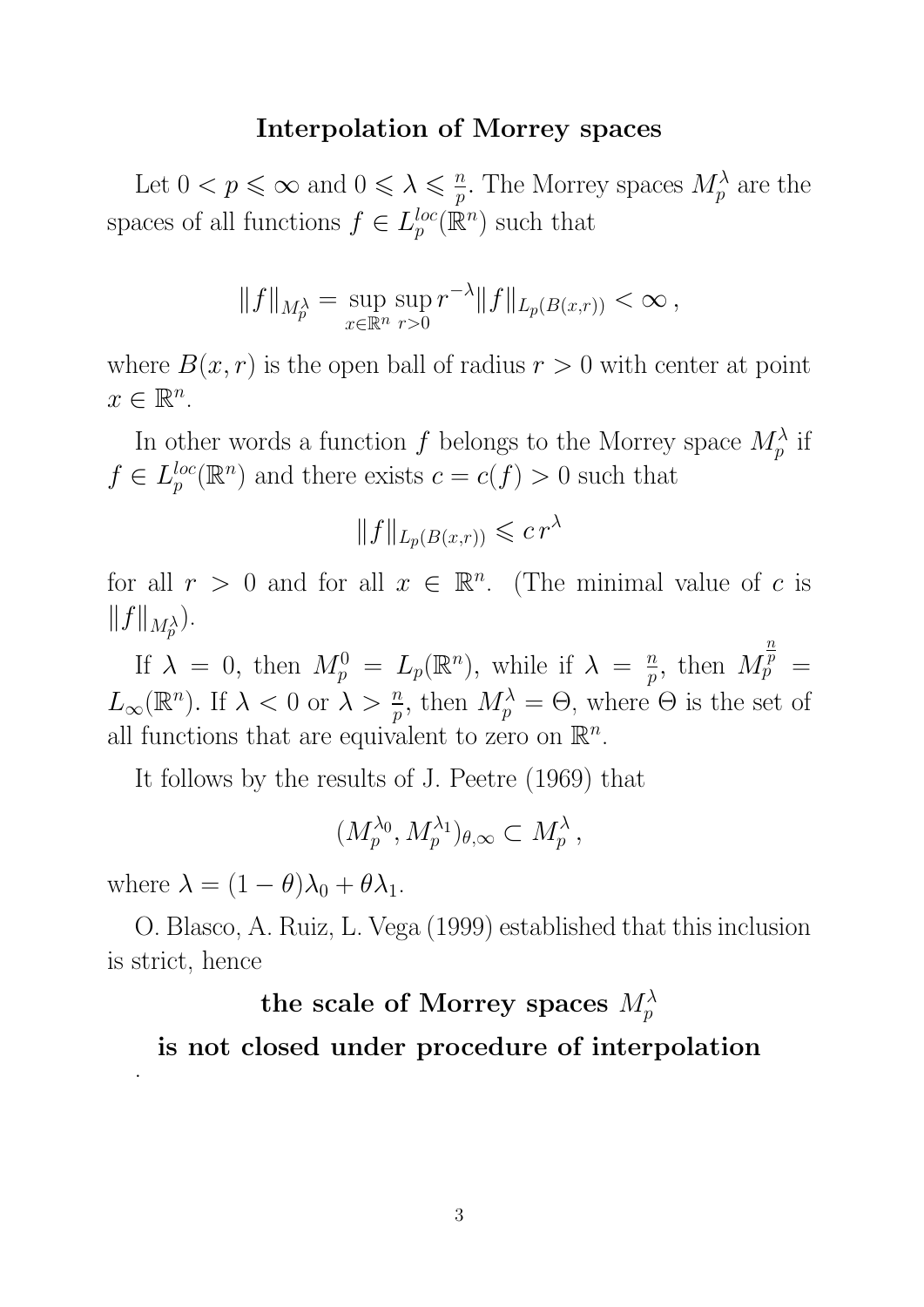#### Interpolation of Morrey spaces

Let  $0 < p \leqslant \infty$  and  $0 \leqslant \lambda \leqslant \frac{n}{n}$  $\frac{n}{p}$ . The Morrey spaces  $M_p^{\lambda}$  are the spaces of all functions  $f \in L_n^{loc}$  $_{p}^{loc}(\mathbb{R}^{n})$  such that

$$
||f||_{M_p^{\lambda}} = \sup_{x \in \mathbb{R}^n} \sup_{r>0} r^{-\lambda} ||f||_{L_p(B(x,r))} < \infty,
$$

where  $B(x, r)$  is the open ball of radius  $r > 0$  with center at point  $x \in \mathbb{R}^n$ .

In other words a function  $f$  belongs to the Morrey space  $M_p^{\lambda}$  if  $f \in L_{p}^{loc}$  $_{p}^{loc}(\mathbb{R}^{n})$  and there exists  $c = c(f) > 0$  such that

$$
||f||_{L_p(B(x,r))} \leqslant c r^{\lambda}
$$

for all  $r > 0$  and for all  $x \in \mathbb{R}^n$ . (The minimal value of c is  $||f||_{M_p^{\lambda}}$ ).

If  $\lambda = 0$ , then  $M_p^0 = L_p(\mathbb{R}^n)$ , while if  $\lambda = \frac{n}{p}$  $\frac{n}{p}$ , then M  $\overline{n}$  $\bar{\bar p} \;=\;$  $L_{\infty}(\mathbb{R}^n)$ . If  $\lambda < 0$  or  $\lambda > \frac{n}{p}$ , then  $M_p^{\lambda} = \Theta$ , where  $\Theta$  is the set of all functions that are equivalent to zero on  $\mathbb{R}^n$ .

It follows by the results of J. Peetre (1969) that

$$
(M_p^{\lambda_0}, M_p^{\lambda_1})_{\theta,\infty} \subset M_p^{\lambda},
$$

where  $\lambda = (1 - \theta)\lambda_0 + \theta \lambda_1$ .

.

O. Blasco, A. Ruiz, L. Vega (1999) established that this inclusion is strict, hence

# the scale of Morrey spaces  $M^\lambda_p$ is not closed under procedure of interpolation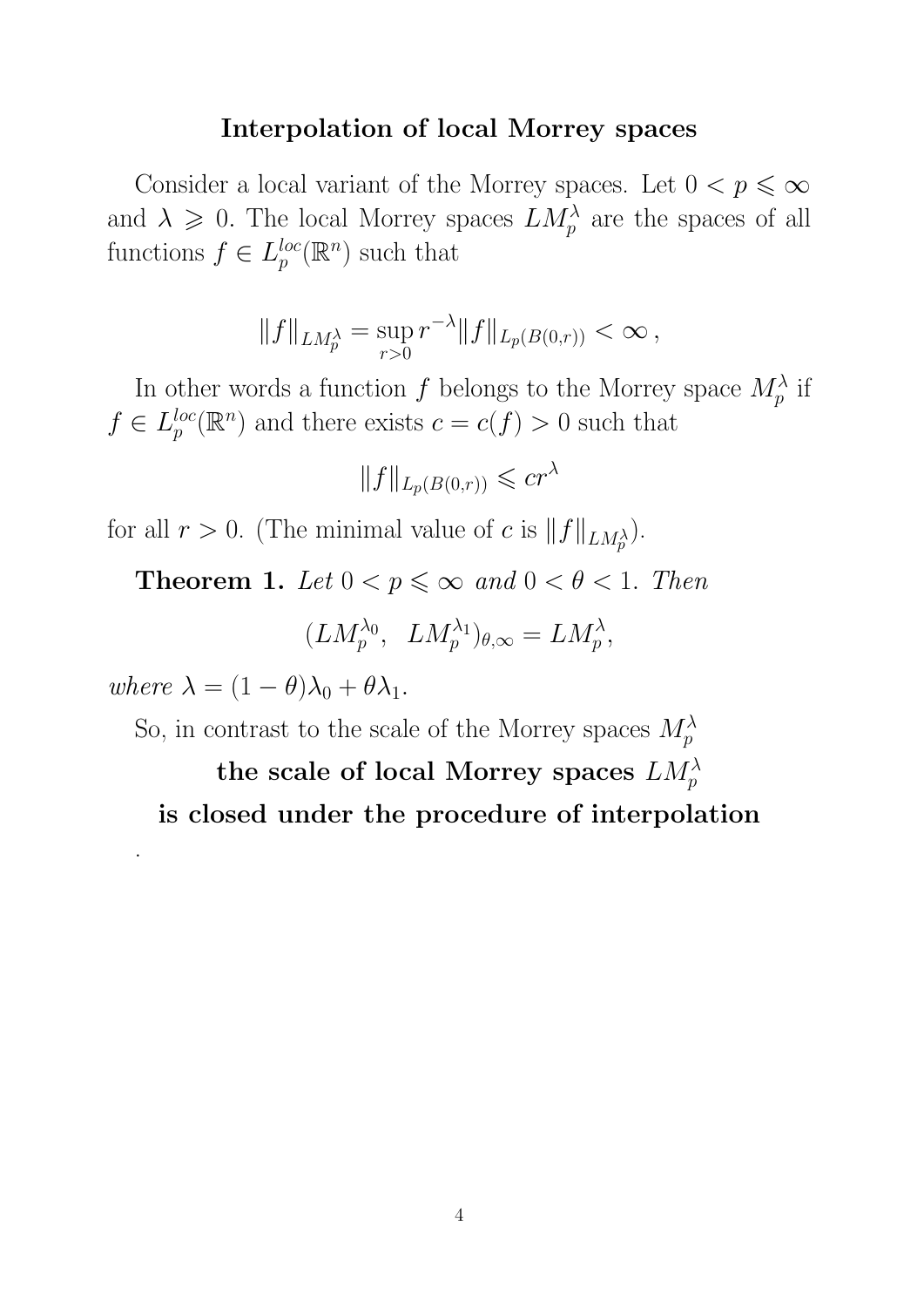#### Interpolation of local Morrey spaces

Consider a local variant of the Morrey spaces. Let  $0 < p \leqslant \infty$ and  $\lambda \geqslant 0$ . The local Morrey spaces  $LM_p^{\lambda}$  are the spaces of all functions  $f \in L_p^{loc}$  $_{p}^{loc}(\mathbb{R}^{n})$  such that

$$
||f||_{LM_p^{\lambda}} = \sup_{r>0} r^{-\lambda} ||f||_{L_p(B(0,r))} < \infty,
$$

In other words a function  $f$  belongs to the Morrey space  $M_p^{\lambda}$  if  $f \in L_{p}^{loc}$  $_{p}^{loc}(\mathbb{R}^{n})$  and there exists  $c = c(f) > 0$  such that

$$
||f||_{L_p(B(0,r))} \leqslant cr^{\lambda}
$$

for all  $r > 0$ . (The minimal value of c is  $||f||_{LM_p^{\lambda}}$ ).

**Theorem 1.** Let  $0 < p \le \infty$  and  $0 < \theta < 1$ . Then

$$
(LM_p^{\lambda_0}, \ LM_p^{\lambda_1})_{\theta,\infty} = LM_p^{\lambda},
$$

where  $\lambda = (1 - \theta)\lambda_0 + \theta \lambda_1$ .

.

So, in contrast to the scale of the Morrey spaces  $M_p^{\lambda}$ 

the scale of local Morrey spaces  $LM_p^{\lambda}$ is closed under the procedure of interpolation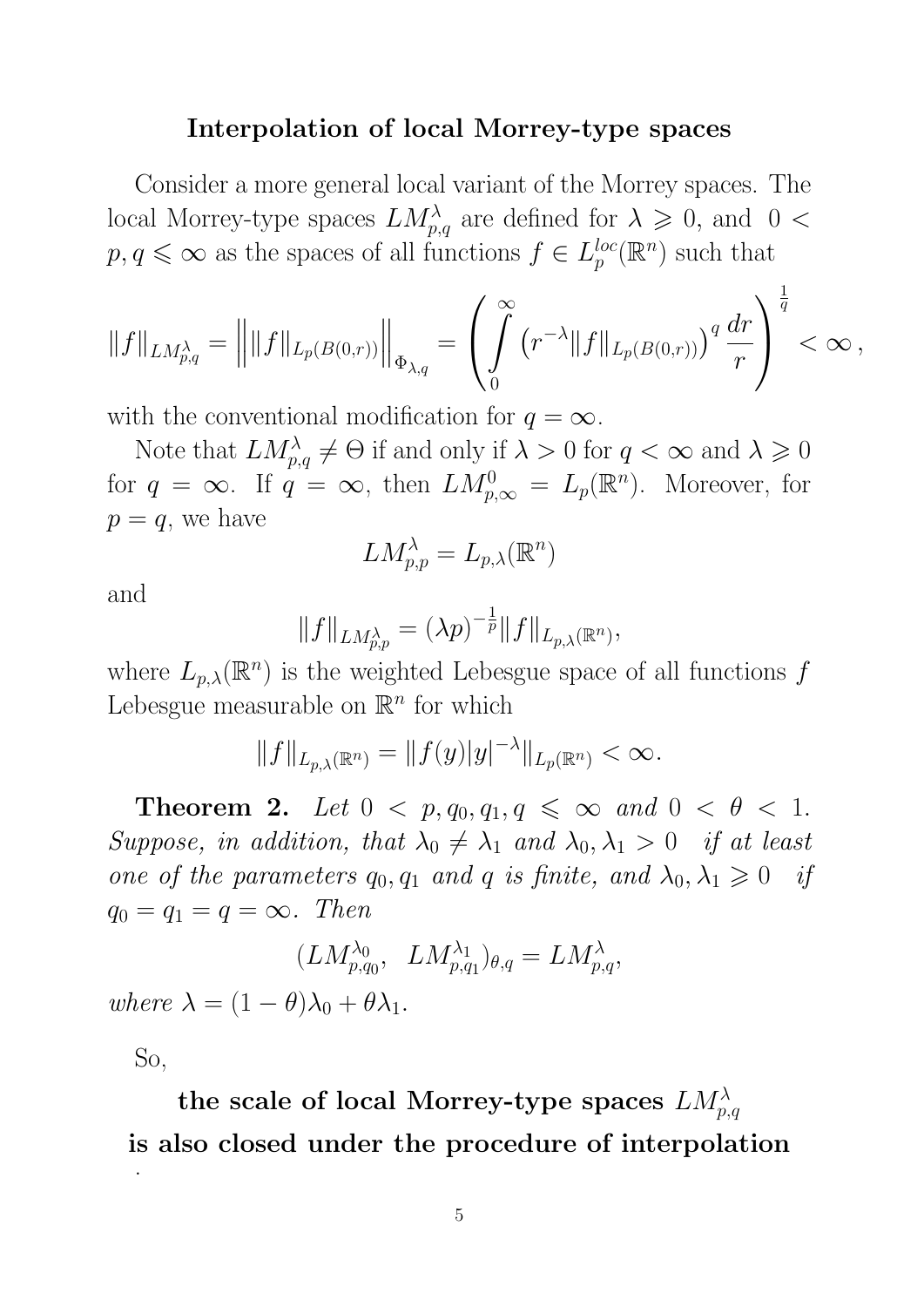#### Interpolation of local Morrey-type spaces

Consider a more general local variant of the Morrey spaces. The local Morrey-type spaces  $LM_{p,q}^{\lambda}$  are defined for  $\lambda \geqslant 0$ , and  $0 <$  $p, q \leq \infty$  as the spaces of all functions  $f \in L_p^{loc}$  $_{p}^{loc}(\mathbb{R}^{n})$  such that

$$
||f||_{LM_{p,q}^{\lambda}} = ||||f||_{L_p(B(0,r))}||_{\Phi_{\lambda,q}} = \left(\int\limits_0^{\infty} (r^{-\lambda}||f||_{L_p(B(0,r)))} \, q \, \frac{dr}{r}\right)^{\frac{1}{q}} < \infty\,,
$$

with the conventional modification for  $q = \infty$ .

Note that  $LM_{p,q}^{\lambda} \neq \Theta$  if and only if  $\lambda > 0$  for  $q < \infty$  and  $\lambda \geq 0$ for  $q = \infty$ . If  $q = \infty$ , then  $LM_{p,\infty}^0 = L_p(\mathbb{R}^n)$ . Moreover, for  $p = q$ , we have

$$
LM_{p,p}^\lambda=L_{p,\lambda}(\mathbb{R}^n)
$$

and

$$
||f||_{LM_{p,p}^{\lambda}} = (\lambda p)^{-\frac{1}{p}} ||f||_{L_{p,\lambda}(\mathbb{R}^n)},
$$

where  $L_{p,\lambda}(\mathbb{R}^n)$  is the weighted Lebesgue space of all functions f Lebesgue measurable on  $\mathbb{R}^n$  for which

$$
||f||_{L_{p,\lambda}(\mathbb{R}^n)} = ||f(y)|y|^{-\lambda}||_{L_p(\mathbb{R}^n)} < \infty.
$$

**Theorem 2.** Let  $0 < p, q_0, q_1, q \leq \infty$  and  $0 < \theta < 1$ . Suppose, in addition, that  $\lambda_0 \neq \lambda_1$  and  $\lambda_0, \lambda_1 > 0$  if at least one of the parameters  $q_0, q_1$  and q is finite, and  $\lambda_0, \lambda_1 \geq 0$  if  $q_0 = q_1 = q = \infty$ . Then

$$
(LM_{p,q_0}^{\lambda_0}, LM_{p,q_1}^{\lambda_1})_{\theta,q} = LM_{p,q}^{\lambda},
$$
  
where  $\lambda = (1 - \theta)\lambda_0 + \theta\lambda_1$ .

So,

the scale of local Morrey-type spaces  $LM_{p,q}^{\lambda}$ is also closed under the procedure of interpolation .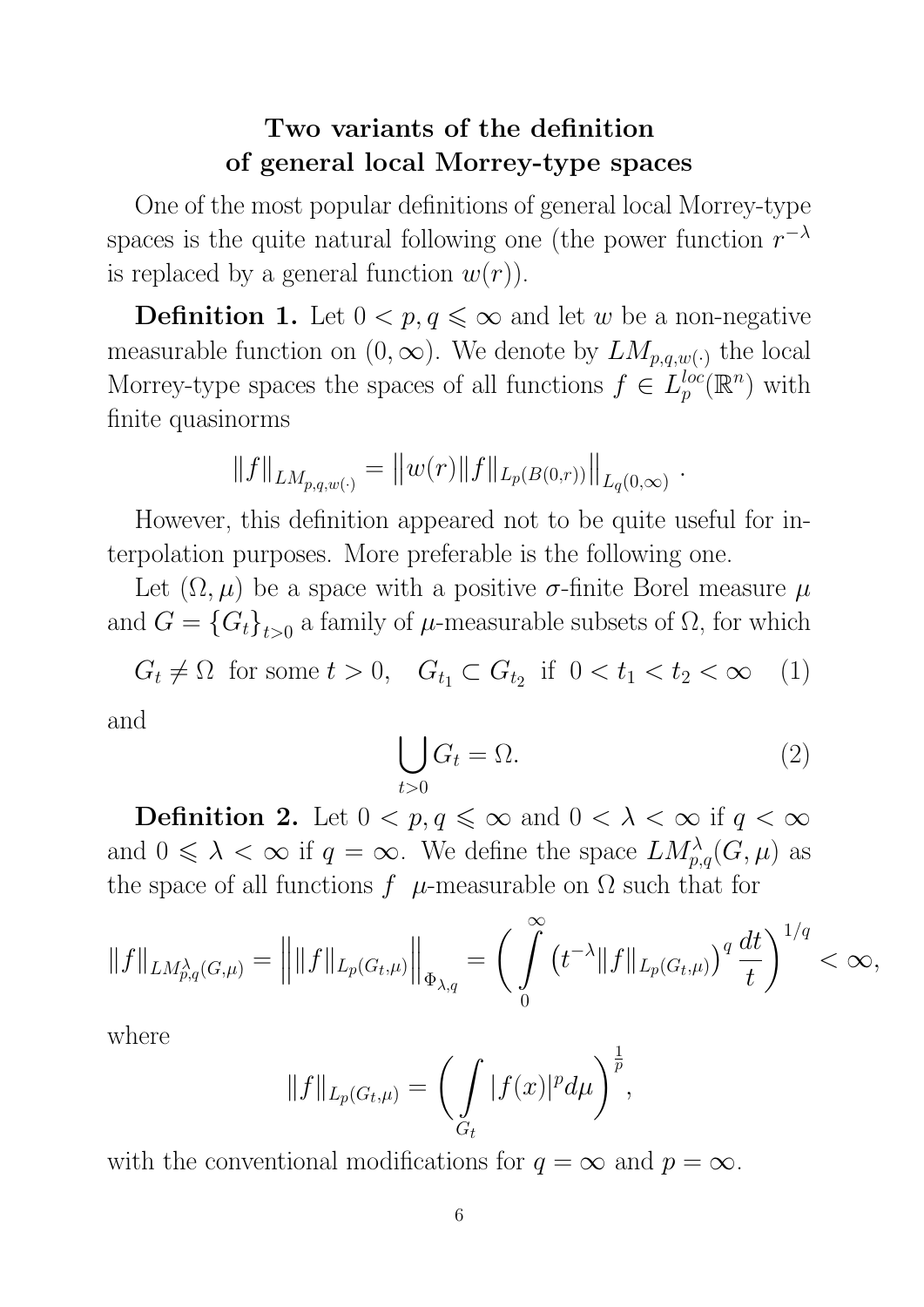# Two variants of the definition of general local Morrey-type spaces

One of the most popular definitions of general local Morrey-type spaces is the quite natural following one (the power function  $r^{-\lambda}$ is replaced by a general function  $w(r)$ .

**Definition 1.** Let  $0 < p, q \leq \infty$  and let w be a non-negative measurable function on  $(0, \infty)$ . We denote by  $LM_{p,q,w}$ , the local Morrey-type spaces the spaces of all functions  $f \in L_n^{loc}$  $_{p}^{loc}(\mathbb{R}^{n})$  with finite quasinorms

$$
||f||_{LM_{p,q,w(\cdot)}} = ||w(r)||f||_{L_p(B(0,r))}||_{L_q(0,\infty)}.
$$

However, this definition appeared not to be quite useful for interpolation purposes. More preferable is the following one.

Let  $(\Omega, \mu)$  be a space with a positive  $\sigma$ -finite Borel measure  $\mu$ and  $G = \{G_t\}_{t>0}$  a family of  $\mu$ -measurable subsets of  $\Omega$ , for which

 $G_t \neq \Omega$  for some  $t > 0$ ,  $G_{t_1} \subset G_{t_2}$  if  $0 < t_1 < t_2 < \infty$  (1) and

$$
\bigcup_{t>0} G_t = \Omega.
$$
 (2)

**Definition 2.** Let  $0 < p, q \leq \infty$  and  $0 < \lambda < \infty$  if  $q < \infty$ and  $0 \leq \lambda < \infty$  if  $q = \infty$ . We define the space  $LM_{p,q}^{\lambda}(G,\mu)$  as the space of all functions  $f$   $\mu$ -measurable on  $\Omega$  such that for

$$
||f||_{LM_{p,q}^{\lambda}(G,\mu)} = \left||||f||_{L_p(G_t,\mu)}\right||_{\Phi_{\lambda,q}} = \bigg(\int\limits_0^{\infty} \left(t^{-\lambda}||f||_{L_p(G_t,\mu)}\right)^q \frac{dt}{t}\bigg)^{1/q} < \infty,
$$

where

$$
||f||_{L_p(G_t,\mu)} = \bigg(\int\limits_{G_t} |f(x)|^p d\mu\bigg)^{\frac{1}{p}},
$$

with the conventional modifications for  $q = \infty$  and  $p = \infty$ .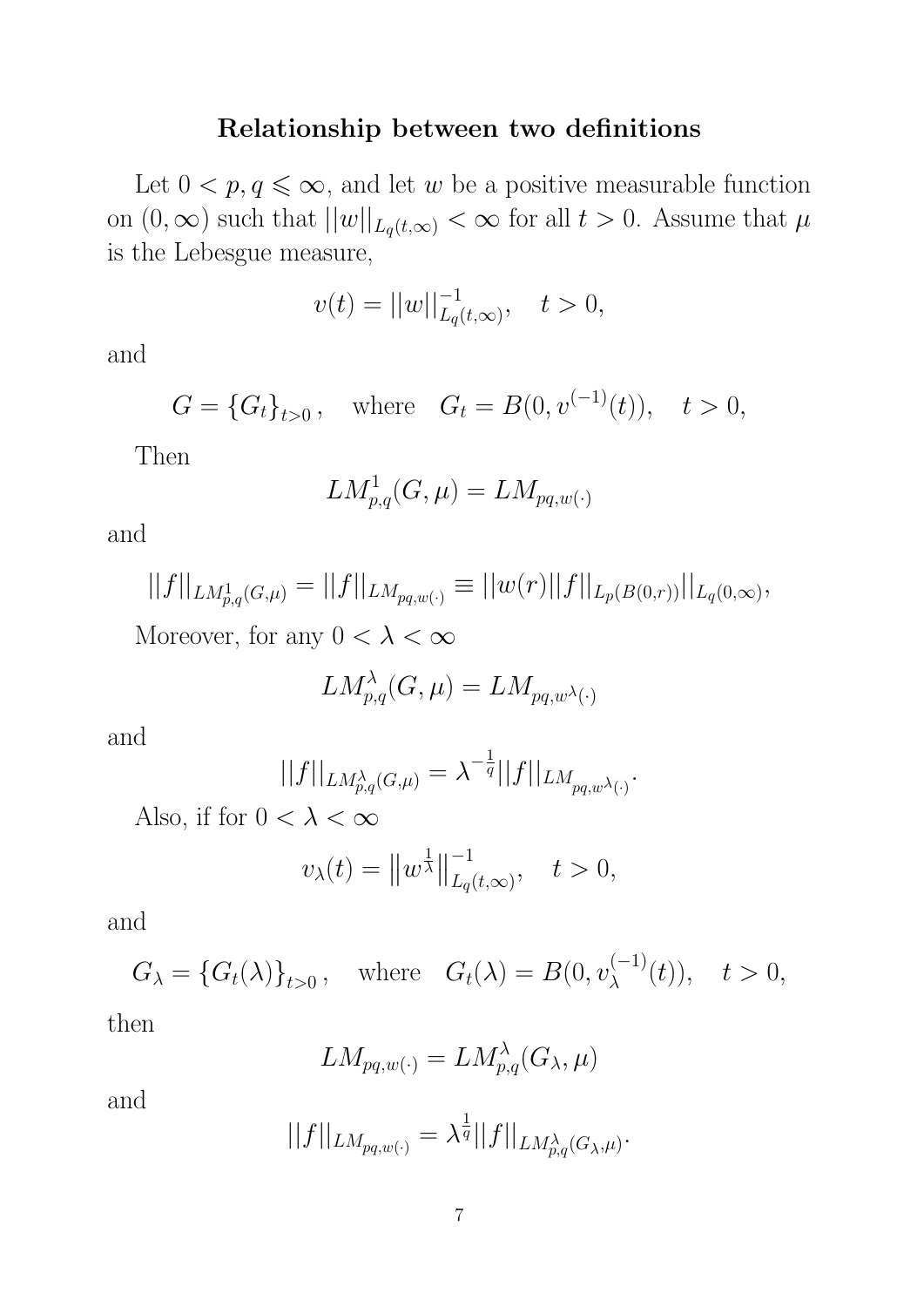## Relationship between two definitions

Let  $0 < p, q \leq \infty$ , and let w be a positive measurable function on  $(0, \infty)$  such that  $||w||_{L_q(t,\infty)} < \infty$  for all  $t > 0$ . Assume that  $\mu$ is the Lebesgue measure,

$$
v(t) = ||w||_{L_q(t,\infty)}^{-1}, \quad t > 0,
$$

and

$$
G = {G_t}_{t>0}
$$
, where  $G_t = B(0, v^{(-1)}(t))$ ,  $t > 0$ ,

Then

$$
LM_{p,q}^1(G,\mu)=LM_{pq,w(\cdot)}
$$

and

$$
||f||_{LM_{p,q}^1(G,\mu)} = ||f||_{LM_{pq,w(\cdot)}} \equiv ||w(r)||f||_{L_p(B(0,r))}||_{L_q(0,\infty)},
$$
  
Moreover, for any  $0 < \lambda < \infty$ 

$$
LM_{p,q}^{\lambda}(G,\mu) = LM_{pq,w^{\lambda}(\cdot)}
$$

and

$$
||f||_{LM_{p,q}^{\lambda}(G,\mu)} = \lambda^{-\frac{1}{q}}||f||_{LM_{pq,w^{\lambda}(\cdot)}}.
$$

Also, if for  $0 < \lambda < \infty$ 

$$
v_{\lambda}(t) = ||w^{\frac{1}{\lambda}}||_{L_q(t,\infty)}^{-1}, \quad t > 0,
$$

and

$$
G_{\lambda} = \{G_t(\lambda)\}_{t>0}, \text{ where } G_t(\lambda) = B(0, v_{\lambda}^{(-1)}(t)), \quad t > 0,
$$
  
then

$$
LM_{pq,w(\cdot)}=LM_{p,q}^{\lambda}(G_{\lambda},\mu)
$$

and

$$
||f||_{LM_{pq,w(\cdot)}} = \lambda^{\frac{1}{q}} ||f||_{LM_{p,q}^{\lambda}(G_{\lambda},\mu)}.
$$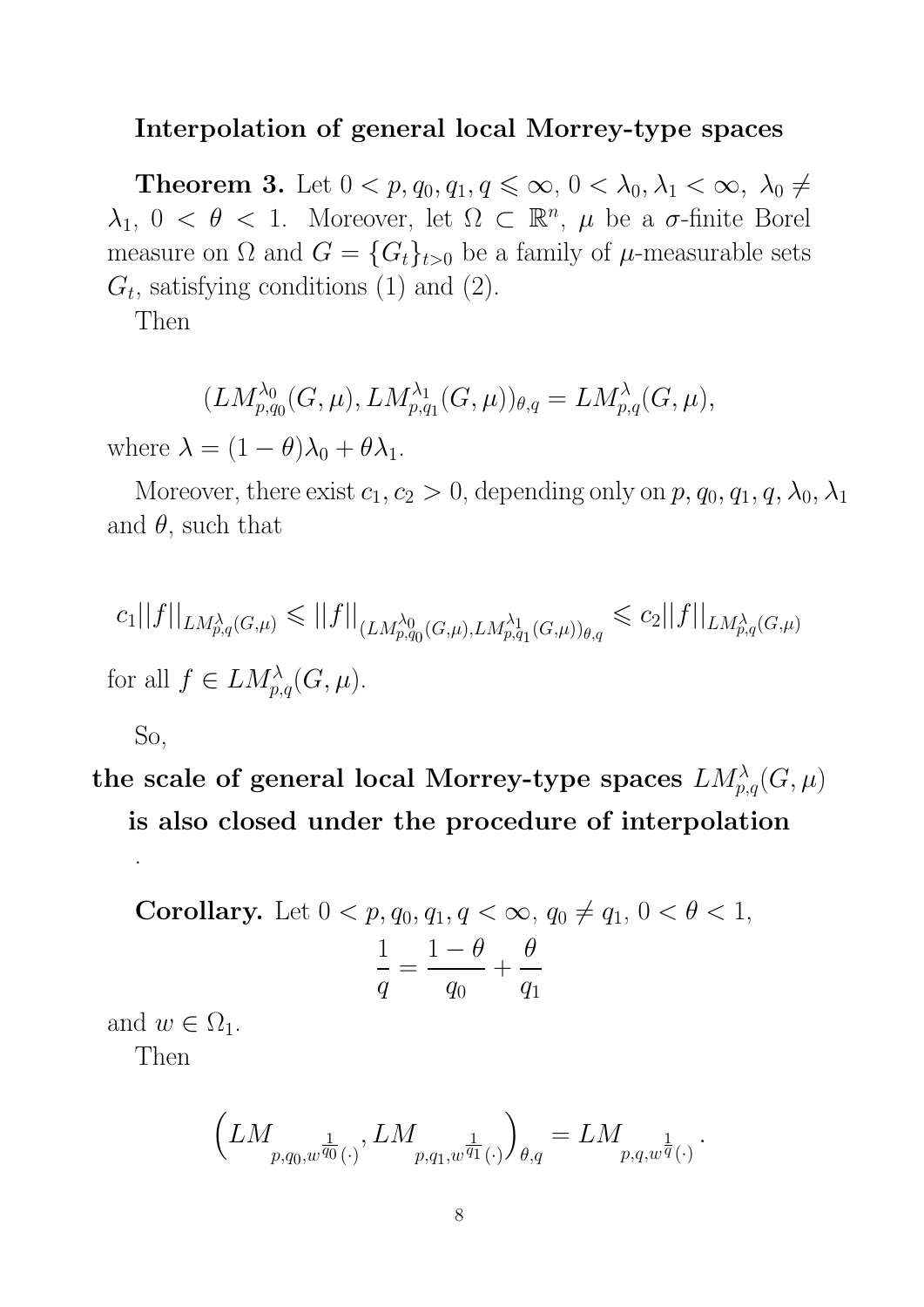#### Interpolation of general local Morrey-type spaces

**Theorem 3.** Let  $0 < p, q_0, q_1, q \leq \infty, 0 < \lambda_0, \lambda_1 < \infty, \lambda_0 \neq$  $\lambda_1, 0 < \theta < 1$ . Moreover, let  $\Omega \subset \mathbb{R}^n$ ,  $\mu$  be a  $\sigma$ -finite Borel measure on  $\Omega$  and  $G = \{G_t\}_{t>0}$  be a family of  $\mu$ -measurable sets  $G_t$ , satisfying conditions (1) and (2).

Then

$$
(LM_{p,q_0}^{\lambda_0}(G,\mu), LM_{p,q_1}^{\lambda_1}(G,\mu))_{\theta,q}=LM_{p,q}^{\lambda}(G,\mu),
$$

where  $\lambda = (1 - \theta)\lambda_0 + \theta\lambda_1$ .

Moreover, there exist  $c_1, c_2 > 0$ , depending only on  $p, q_0, q_1, q, \lambda_0, \lambda_1$ and  $\theta$ , such that

$$
c_1||f||_{LM_{p,q}^{\lambda}(G,\mu)} \leq ||f||_{(LM_{p,q_0}^{\lambda_0}(G,\mu),LM_{p,q_1}^{\lambda_1}(G,\mu))_{\theta,q}} \leq c_2||f||_{LM_{p,q}^{\lambda}(G,\mu)}
$$
  
for all  $f \in LM_{p,q}^{\lambda}(G,\mu)$ .

So,

.

the scale of general local Morrey-type spaces  $LM_{p,q}^{\lambda}(G,\mu)$ is also closed under the procedure of interpolation

**Corollary.** Let 
$$
0 < p, q_0, q_1, q < \infty, q_0 \neq q_1, 0 < \theta < 1,
$$
  
\n
$$
\frac{1}{q} = \frac{1 - \theta}{q_0} + \frac{\theta}{q_1}
$$

and  $w \in \Omega_1$ .

Then

$$
\left(LM_{p,q_0,w^{\frac{1}{q_0}}(\cdot)},LM_{p,q_1,w^{\frac{1}{q_1}}(\cdot)}\right)_{\theta,q} = LM_{p,q,w^{\frac{1}{q}}(\cdot)}
$$

.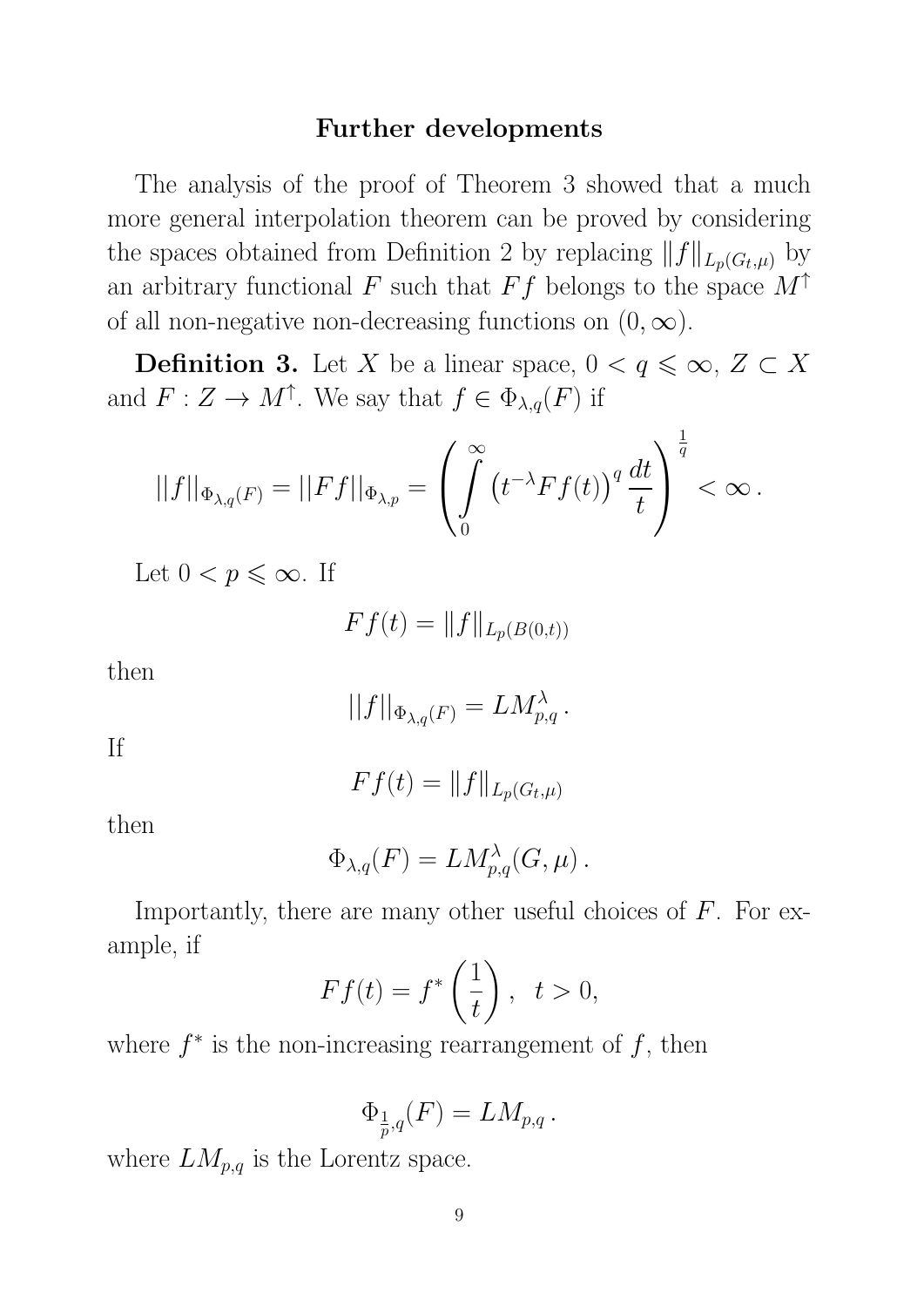## Further developments

The analysis of the proof of Theorem 3 showed that a much more general interpolation theorem can be proved by considering the spaces obtained from Definition 2 by replacing  $|| f ||_{L_p(G_t, \mu)}$  by an arbitrary functional F such that Ff belongs to the space  $M^{\uparrow}$ of all non-negative non-decreasing functions on  $(0, \infty)$ .

**Definition 3.** Let X be a linear space,  $0 < q \leq \infty$ ,  $Z \subset X$ and  $F: Z \to M^{\uparrow}$ . We say that  $f \in \Phi_{\lambda,q}(F)$  if

$$
||f||_{\Phi_{\lambda,q}(F)}=||Ff||_{\Phi_{\lambda,p}}=\left(\int\limits_0^\infty \left(t^{-\lambda}Ff(t)\right)^q\frac{dt}{t}\right)^{\frac{1}{q}}<\infty\,.
$$

Let  $0 < p \leq \infty$ . If

$$
Ff(t) = ||f||_{L_p(B(0,t))}
$$

then

$$
||f||_{\Phi_{\lambda,q}(F)} = LM_{p,q}^{\lambda}.
$$

If

$$
Ff(t) = ||f||_{L_p(G_t,\mu)}
$$

then

$$
\Phi_{\lambda,q}(F) = LM_{p,q}^{\lambda}(G,\mu).
$$

Importantly, there are many other useful choices of  $F$ . For example, if

$$
Ff(t) = f^*\left(\frac{1}{t}\right), \ \ t > 0,
$$

where  $f^*$  is the non-increasing rearrangement of  $f$ , then

$$
\Phi_{\frac{1}{p},q}(F) = LM_{p,q}.
$$

where  $LM_{p,q}$  is the Lorentz space.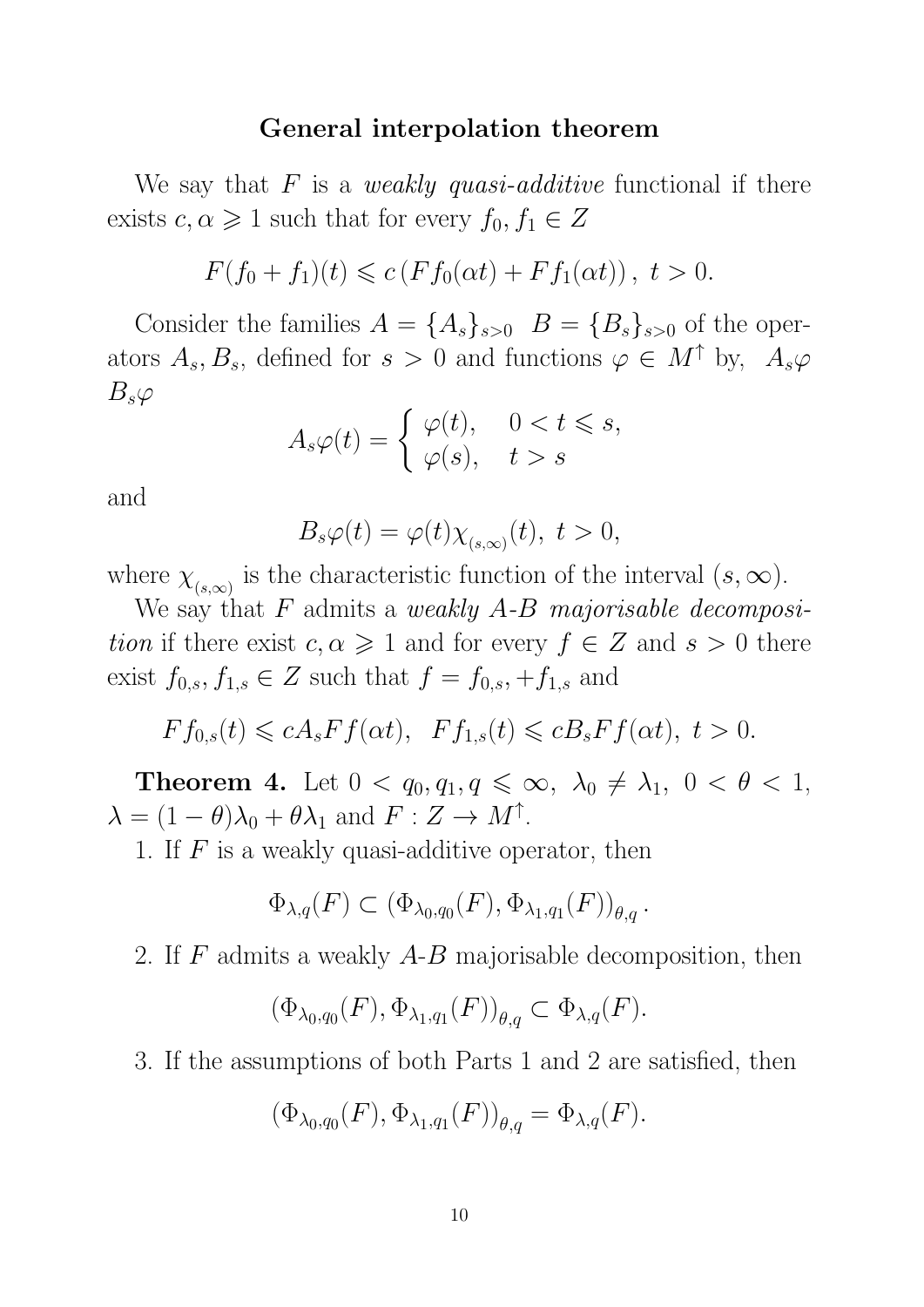#### General interpolation theorem

We say that  $F$  is a *weakly quasi-additive* functional if there exists  $c, \alpha \geq 1$  such that for every  $f_0, f_1 \in Z$ 

$$
F(f_0 + f_1)(t) \leq c \left( F f_0(\alpha t) + F f_1(\alpha t) \right), \ t > 0.
$$

Consider the families  $A = \{A_s\}_{s>0}$   $B = \{B_s\}_{s>0}$  of the operators  $A_s, B_s$ , defined for  $s > 0$  and functions  $\varphi \in M^{\uparrow}$  by,  $A_s \varphi$  $B_s\varphi$ 

$$
A_s \varphi(t) = \begin{cases} \varphi(t), & 0 < t \leq s, \\ \varphi(s), & t > s \end{cases}
$$

and

$$
B_s\varphi(t) = \varphi(t)\chi_{(s,\infty)}(t), \ t > 0,
$$

where  $\chi_{(s,\infty)}$  is the characteristic function of the interval  $(s,\infty)$ .

We say that  $F$  admits a weakly  $A-B$  majorisable decomposition if there exist  $c, \alpha \geq 1$  and for every  $f \in Z$  and  $s > 0$  there exist  $f_{0,s}, f_{1,s} \in Z$  such that  $f = f_{0,s}, +f_{1,s}$  and

$$
Ff_{0,s}(t) \leqslant cA_sFf(\alpha t), \quad Ff_{1,s}(t) \leqslant cB_sFf(\alpha t), \ t > 0.
$$

**Theorem 4.** Let  $0 < q_0, q_1, q \leq \infty$ ,  $\lambda_0 \neq \lambda_1$ ,  $0 < \theta < 1$ ,  $\lambda = (1 - \theta)\lambda_0 + \theta\lambda_1$  and  $F: Z \to M^{\uparrow}$ .

1. If  $F$  is a weakly quasi-additive operator, then

$$
\Phi_{\lambda,q}(F)\subset (\Phi_{\lambda_0,q_0}(F),\Phi_{\lambda_1,q_1}(F))_{\theta,q}\, .
$$

2. If F admits a weakly A-B majorisable decomposition, then

$$
(\Phi_{\lambda_0,q_0}(F),\Phi_{\lambda_1,q_1}(F))_{\theta,q}\subset \Phi_{\lambda,q}(F).
$$

3. If the assumptions of both Parts 1 and 2 are satisfied, then

$$
(\Phi_{\lambda_0,q_0}(F),\Phi_{\lambda_1,q_1}(F))_{\theta,q}=\Phi_{\lambda,q}(F).
$$